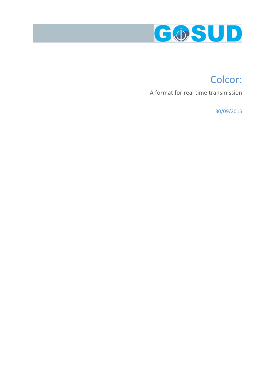

# Colcor:

A format for real time transmission

30/09/2015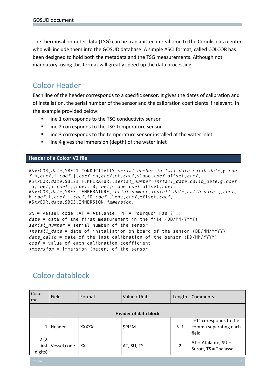The thermosalionmeter data (TSG) can be transmitted in real time to the Coriolis data center who will include them into the GOSUD database. A simple ASCI format, called COLCOR has been designed to hold both the metadata and the TSG measurements. Although not mandatory, using this format will greatly speed up the data processing.

### Colcor Header

Each line of the header corresponds to a specific sensor. It gives the dates of calibration and of installation, the serial number of the sensor and the calibration coefficients if relevant. In the example provided below:

- line 1 corresponds to the TSG conductivity sensor
- line 2 corresponds to the TSG temperature sensor
- line 3 corresponds to the temperature sensor installed at the water inlet.
- line 4 gives the immersion (depth) of the water inlet

#### **Header of a Colcor V2 file**

#\$xxCOR,date,SBE21,CONDUCTIVITY,serial\_number,install\_date,calib\_date,g,coe f,h,coef,i,coef,j,coef,cp,coef,ct,coef,slope,coef,offset,coef, #\$xxCOR,date,SBE21,TEMPERATURE, serial\_number, install\_date,calib\_date,g,coef ,h,coef,i,coef,j,coef,f0,coef,slope,coef,offset,coef, #\$xxCOR, date, SBE3, TEMPERATURE, serial\_number, install\_date, calib\_date, g, coef, h,coef,i,coef,j,coef,f0,coef,slope,coef,offset,coef, #\$xxCOR,date,SBE3,IMMERSION,immersion,  $xx$  = vessel code (AT = Atalante, PP = Pourquoi Pas ? ...) date = date of the first measurement in the file (DD/MM/YYYY) serial number = serial number of the sensor install date = date of installation on board of the sensor (DD/MM/YYYY) date calib = date of the last calibration of the sensor (DD/MM/YYYY) coef = value of each calibration coefficient immersion = immersion (meter) of the sensor

## Colcor datablock

| Colu-<br>mn                 | Field       | Format       | Value / Unit  | Length  | Comments                                                 |  |  |  |
|-----------------------------|-------------|--------------|---------------|---------|----------------------------------------------------------|--|--|--|
|                             |             |              |               |         |                                                          |  |  |  |
| <b>Header of data block</b> |             |              |               |         |                                                          |  |  |  |
|                             | Header      | <b>XXXXX</b> | <b>\$PIFM</b> | $5 + 1$ | "+1" coresponds to the<br>comma separating each<br>field |  |  |  |
| 2(2)<br>first  <br>digits)  | Vessel code | XX           | AT, SU, TS    | 2       | $AT = Atalante, SU =$<br>Suroît, TS = Thalassa           |  |  |  |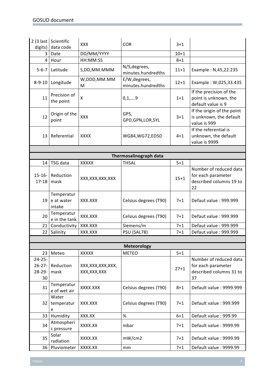|                             | 2 (3 last Scientific               | <b>XXX</b>                        | <b>COR</b>                          | $3 + 1$  |                                                                               |
|-----------------------------|------------------------------------|-----------------------------------|-------------------------------------|----------|-------------------------------------------------------------------------------|
| digits)                     | data code                          |                                   |                                     |          |                                                                               |
| 3                           | Date                               | DD/MM/YYYY                        |                                     | $10 + 1$ |                                                                               |
| 4                           | Hour                               | HH:MM:SS                          |                                     | $8 + 1$  |                                                                               |
| $5 - 6 - 7$                 | Latitude                           | S,DD,MM.MMM                       | N/S, degrees,<br>minutes.hundredths | $11+1$   | Example: N,45,22.235                                                          |
| $8 - 9 - 10$                | Longitude                          | W,DDD,MM.MM<br>M                  | E/W, degrees,<br>minutes.hundredths | $12 + 1$ | Example: W,025,33.435                                                         |
| 11                          | Precision of<br>the point          | Χ                                 | 0,1,9                               | $1 + 1$  | If the precision of the<br>point is unknown, the<br>default value is 9        |
| 12                          | Origin of the<br>point             | <b>XXX</b>                        | GPS,<br>GPD, GPN, LOR, SYL          | $3 + 1$  | If the origin of the point<br>is unknown, the default<br>value is 999         |
| 13                          | Referential                        | <b>XXXX</b>                       | WG84, WG72, ED50                    | $4 + 1$  | If the referential is<br>unknown, the default<br>value is 9999                |
|                             |                                    |                                   |                                     |          |                                                                               |
|                             |                                    |                                   | Thermosalinograph data              |          |                                                                               |
|                             | $14$ TSG data                      | <b>XXXXX</b>                      | <b>THSAL</b>                        | $5 + 1$  |                                                                               |
| $15 - 16 -$<br>$17 - 18$    | Reduction<br>mask                  | XXX, XXX, XXX, XXX                |                                     | $15 + 1$ | Number of reduced data<br>for each parameter<br>described columns 19 to<br>22 |
| 19 <sup>1</sup>             | Temperatur<br>e at water<br>intake | XXX.XXX                           | Celsius degrees (T90)               | $7 + 1$  | Defaut value: 999.999                                                         |
| 20                          | Temperatur<br>e in the tank        | XXX.XXX                           | Celsius degrees (T90)               | $7 + 1$  | Defaut value: 999.999                                                         |
| 21 <sub>1</sub>             | Conductivity                       | XXX.XXX                           | Siemens/m                           | $7 + 1$  | Defaut value: 999.999                                                         |
|                             | 22 Salinity                        | XXX.XXX                           | PSU (SAL78)                         | $7 + 1$  | Defaut value: 999.999                                                         |
|                             |                                    |                                   |                                     |          |                                                                               |
|                             |                                    |                                   | <b>Meteorology</b>                  |          |                                                                               |
| 23                          | Meteo                              | <b>XXXXX</b>                      | <b>METEO</b>                        | $5 + 1$  |                                                                               |
| $24 - 25 -$<br>28-29-<br>30 | 26-27-Reduction<br>mask            | XXX,XXX,XXX,XXX,<br>XXX, XXX, XXX |                                     | $27 + 1$ | Number of reduced data<br>for each parameter<br>described columns 31 to<br>37 |
| 31                          | Temperatur<br>e of wet air         | XXXX.XXX                          | Celsius degrees (T90)               | $8 + 1$  | Default value: 9999.999                                                       |
| 32                          | Water<br>temperatur<br>e           | XXX.XXX                           | Celsius degrees (T90)               | $7 + 1$  | Default value: 999.999                                                        |
| 33                          | Humidity                           | XXX.XX                            | $\%$                                | $6 + 1$  | Default value: 999.99                                                         |
| 34                          | Atmospheri<br>c pressure           | XXXX.XX                           | mbar                                | $7 + 1$  | Default value: 9999.99                                                        |
| 35                          | Solar<br>radiation                 | XXXX.XX                           | mW/cm2                              | $7 + 1$  | Default value: 9999.99                                                        |
|                             | 36 Pluviometer                     | XXXX.XX                           | mm                                  | $7 + 1$  | Default value: 9999.99                                                        |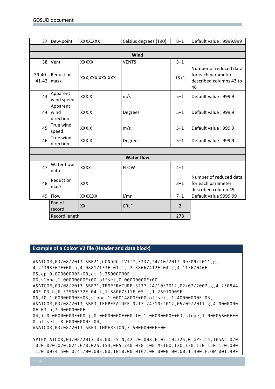|                       | 37 Dew-point                  | XXXX.XXX           | Celsius degrees (T90) | $8 + 1$        | Default value: 9999.999                                                       |  |  |  |
|-----------------------|-------------------------------|--------------------|-----------------------|----------------|-------------------------------------------------------------------------------|--|--|--|
|                       |                               |                    |                       |                |                                                                               |  |  |  |
| Wind                  |                               |                    |                       |                |                                                                               |  |  |  |
|                       | 38 Vent                       | <b>XXXXX</b>       | <b>VENTS</b>          | $5 + 1$        |                                                                               |  |  |  |
| $39-40-$<br>$41 - 42$ | Reduction<br>mask             | XXX, XXX, XXX, XXX |                       | $15 + 1$       | Number of reduced data<br>for each parameter<br>described columns 43 to<br>46 |  |  |  |
| 43                    | Apparent<br>wind speed        | XXX.X              | m/s                   | $5 + 1$        | Default value: 999.9                                                          |  |  |  |
| 44                    | Apparent<br>wind<br>direction | XXX.X              | Degrees               | $5 + 1$        | Default value: 999.9                                                          |  |  |  |
| 45                    | True wind<br>speed            | XXX.X              | m/s                   | $5 + 1$        | Default value: 999.9                                                          |  |  |  |
| 46                    | True wind<br>direction        | XXX.X              | <b>Degrees</b>        | $5 + 1$        | Default value: 999.9                                                          |  |  |  |
|                       |                               |                    |                       |                |                                                                               |  |  |  |
| <b>Water flow</b>     |                               |                    |                       |                |                                                                               |  |  |  |
| 47                    | Water flow<br>data            | <b>XXXX</b>        | <b>FLOW</b>           | $4 + 1$        |                                                                               |  |  |  |
| 48                    | Reduction<br>mask             | XXX                |                       | $3 + 1$        | Number of reduced data<br>for each parameter<br>described column 49           |  |  |  |
|                       | 49 Flow                       | XXXX.XX            | 1/mn                  | $7 + 1$        | Default value 9999.99                                                         |  |  |  |
|                       | End of<br>record              | XX                 | <b>CRLF</b>           | $\overline{2}$ |                                                                               |  |  |  |
|                       | Record length                 |                    | 278                   |                |                                                                               |  |  |  |

### **Example of a Colcor V2 file (Header and data block)**

#\$ATCOR,03/08/2013,SBE21,CONDUCTIVITY,3237,24/10/2012,09/09/2011,g,- 4.22398567E+00,h,4.98817133E-01,i,-2.38667412E-04,j,4.11567046E-05,cp,0.00000000E+00,ct,3.25000000E-06,slope,1.00000000E+00,offset,0.00000000E+00, #\$ATCOR,03/08/2013,SBE21,TEMPERATURE,3237,24/10/2012,02/02/2007,g,4.230844 40E-03,h,6.32560572E-04,i,1.88067311E-05,j,1.26910909E-06,f0,1.00000000E+03,slope,1.00014800E+00,offset,-1.40000000E-03, #\$ATCOR,03/08/2013,SBE3,TEMPERATURE,0217,24/10/2012,05/09/2011,g,4.0000000 0E-03,h,2.00000000E-04,i,0.00000000E+00,j,0.00000000E+00,f0,1.00000000E+03,slope,1.00005600E+0 0,offset,-8.00000000E-04, #\$ATCOR,03/08/2013,SBE3,IMMERSION,3.50000000E+00, \$PIFM,ATCOR,03/08/2013,06:00:55,N,42,20.008,E,05,10.225,0,GPS,14,THSAL,020 ,020,020,020,024.678,025.154,005.740,038.108,METEO,120,120,120,120,120,000 ,120,0024.500,024.700,083.00,1018.00,0167.00,0000.00,0021.400,FLOW,001,999